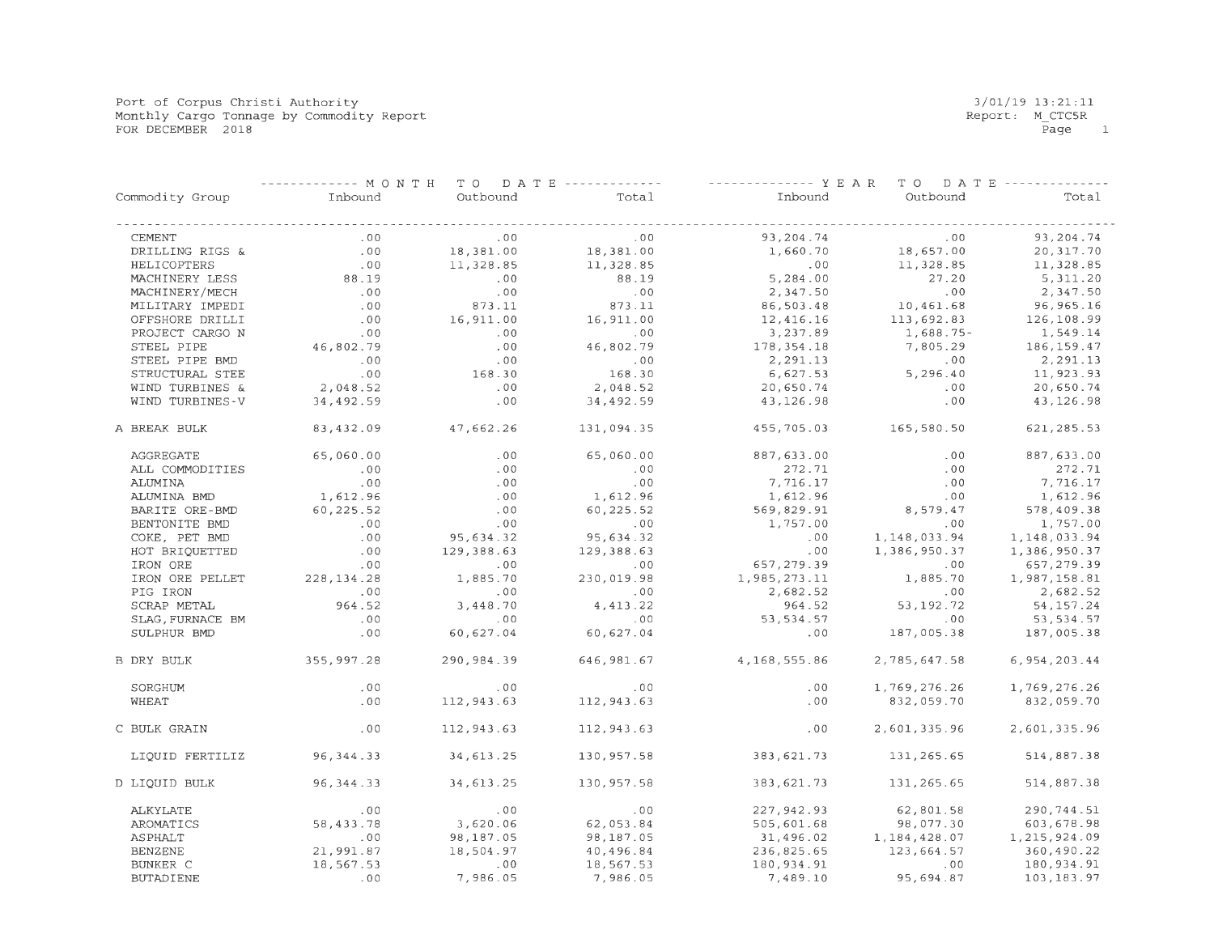Port of Corpus Christi Authority Monthly Cargo Tonnage by Commodity Report FOR DECEMBER 2018

|                   | ----- MONTH  |            | TO DATE ------------- | ------------- Y E A R | TO DATE ------- |              |
|-------------------|--------------|------------|-----------------------|-----------------------|-----------------|--------------|
| Commodity Group   | Inbound      | Outbound   | Total                 | Inbound               | Outbound        | Total        |
| <b>CEMENT</b>     | .00          | .00        | .00                   | 93,204.74             | .00             | 93,204.74    |
| DRILLING RIGS &   | .00          | 18,381.00  | 18,381.00             | 1,660.70              | 18,657.00       | 20,317.70    |
| HELICOPTERS       | .00          | 11,328.85  | 11,328.85             | .00                   | 11,328.85       | 11,328.85    |
| MACHINERY LESS    | 88.19        | .00        | 88.19                 | 5,284.00              | 27.20           | 5,311.20     |
| MACHINERY/MECH    | .00          | .00        | .00                   | 2,347.50              | .00             | 2,347.50     |
| MILITARY IMPEDI   | .00          | 873.11     | 873.11                | 86,503.48             | 10,461.68       | 96, 965.16   |
| OFFSHORE DRILLI   | .00          | 16,911.00  | 16,911.00             | 12,416.16             | 113,692.83      | 126,108.99   |
| PROJECT CARGO N   | .00          | .00        | .00                   | 3,237.89              | $1,688.75-$     | 1,549.14     |
| STEEL PIPE        | 46,802.79    | .00        | 46,802.79             | 178, 354. 18          | 7,805.29        | 186, 159.47  |
| STEEL PIPE BMD    | .00          | .00        | .00                   | 2,291.13              | .00             | 2,291.13     |
| STRUCTURAL STEE   | .00          | 168.30     | 168.30                | 6,627.53              | 5,296.40        | 11,923.93    |
| WIND TURBINES &   | 2,048.52     | .00        | 2,048.52              | 20,650.74             | .00             | 20,650.74    |
| WIND TURBINES-V   | 34,492.59    | .00        | 34,492.59             | 43,126.98             | .00             | 43, 126.98   |
| A BREAK BULK      | 83,432.09    | 47,662.26  | 131,094.35            | 455,705.03            | 165,580.50      | 621, 285.53  |
| AGGREGATE         | 65,060.00    | .00        | 65,060.00             | 887,633.00            | .00             | 887,633.00   |
| ALL COMMODITIES   | .00          | .00        | .00                   | 272.71                | .00             | 272.71       |
| ALUMINA           | .00          | .00        | .00                   | 7,716.17              | .00             | 7,716.17     |
| ALUMINA BMD       | 1,612.96     | .00        | 1,612.96              | 1,612.96              | .00             | 1,612.96     |
| BARITE ORE-BMD    | 60,225.52    | .00        | 60, 225.52            | 569,829.91            | 8,579.47        | 578,409.38   |
| BENTONITE BMD     | .00          | .00        | .00                   | 1,757.00              | .00             | 1,757.00     |
| COKE, PET BMD     | .00          | 95,634.32  | 95,634.32             | .00                   | 1, 148, 033.94  | 1,148,033.94 |
| HOT BRIQUETTED    | .00          | 129,388.63 | 129,388.63            | .00                   | 1,386,950.37    | 1,386,950.37 |
| IRON ORE          | .00          | .00        | .00                   | 657,279.39            | .00             | 657,279.39   |
| IRON ORE PELLET   | 228, 134. 28 | 1,885.70   | 230,019.98            | 1,985,273.11          | 1,885.70        | 1,987,158.81 |
| PIG IRON          | .00          | .00        | .00                   | 2,682.52              | .00             | 2,682.52     |
| SCRAP METAL       | 964.52       | 3,448.70   | 4, 413.22             | 964.52                | 53, 192. 72     | 54, 157.24   |
| SLAG, FURNACE BM  | .00          | .00        | .00                   | 53, 534.57            | .00             | 53,534.57    |
| SULPHUR BMD       | .00          | 60,627.04  | 60,627.04             | .00                   | 187,005.38      | 187,005.38   |
| <b>B DRY BULK</b> | 355,997.28   | 290,984.39 | 646, 981.67           | 4,168,555.86          | 2,785,647.58    | 6,954,203.44 |
| SORGHUM           | .00          | .00        | .00                   | .00                   | 1,769,276.26    | 1,769,276.26 |
| WHEAT             | .00          | 112,943.63 | 112,943.63            | .00                   | 832,059.70      | 832,059.70   |
| C BULK GRAIN      | .00          | 112,943.63 | 112,943.63            | .00                   | 2,601,335.96    | 2,601,335.96 |
| LIQUID FERTILIZ   | 96, 344.33   | 34,613.25  | 130,957.58            | 383,621.73            | 131,265.65      | 514,887.38   |
| D LIQUID BULK     | 96, 344. 33  | 34,613.25  | 130,957.58            | 383,621.73            | 131,265.65      | 514,887.38   |
| ALKYLATE          | .00          | .00        | .00                   | 227, 942.93           | 62,801.58       | 290,744.51   |
| AROMATICS         | 58,433.78    | 3,620.06   | 62,053.84             | 505,601.68            | 98,077.30       | 603,678.98   |
| ASPHALT           | .00          | 98,187.05  | 98,187.05             | 31,496.02             | 1,184,428.07    | 1,215,924.09 |
| <b>BENZENE</b>    | 21,991.87    | 18,504.97  | 40,496.84             | 236,825.65            | 123,664.57      | 360,490.22   |
| BUNKER C          | 18,567.53    | .00        | 18,567.53             | 180,934.91            | .00             | 180,934.91   |
| <b>BUTADIENE</b>  | .00          | 7,986.05   | 7,986.05              | 7,489.10              | 95,694.87       | 103, 183.97  |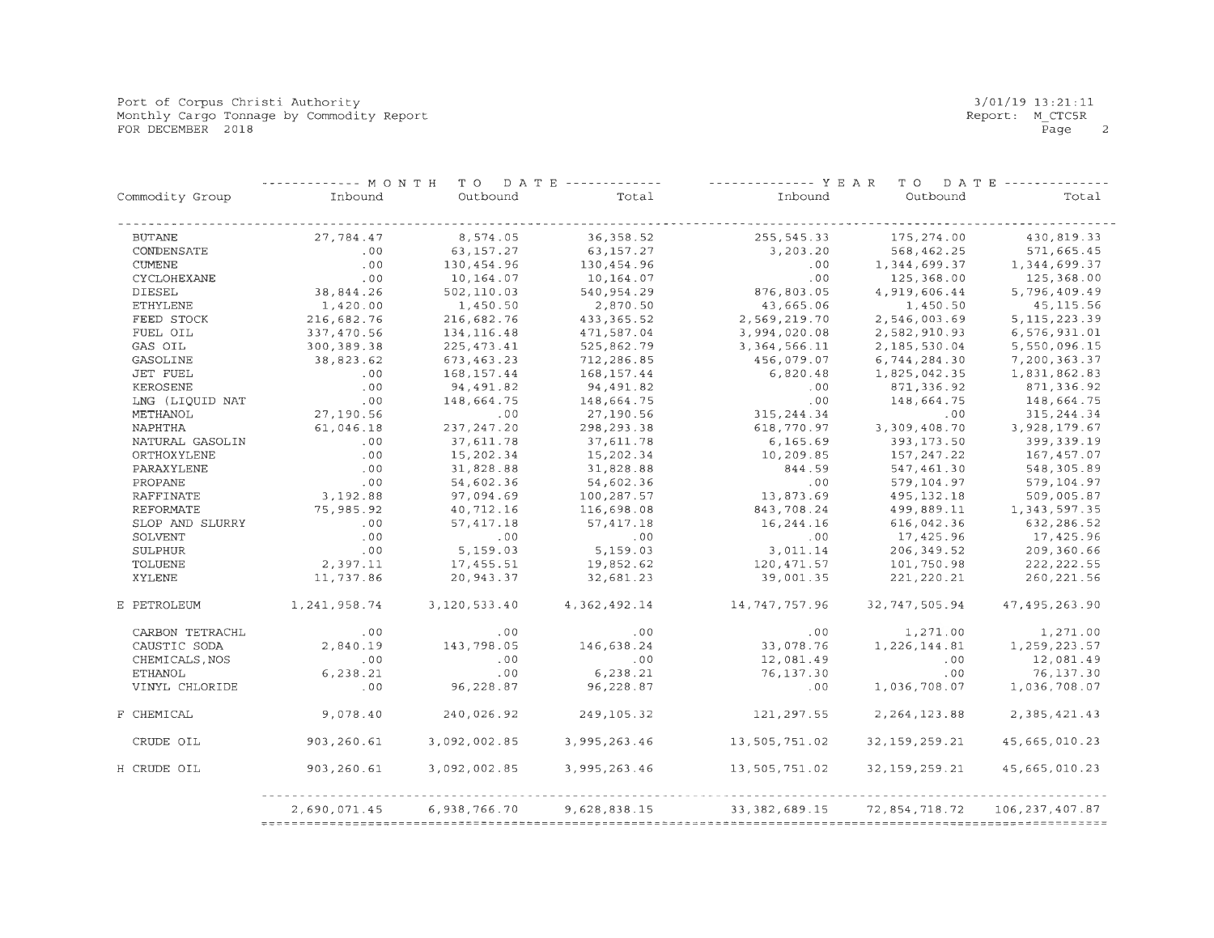Port of Corpus Christi Authority Monthly Cargo Tonnage by Commodity Report FOR DECEMBER 2018

|                 |              | --------- MONTH TO DATE ------------- |              | ------------- Y E A R<br>TO DATE |                  |                  |  |
|-----------------|--------------|---------------------------------------|--------------|----------------------------------|------------------|------------------|--|
| Commodity Group | Inbound      | Outbound                              | Total        | Inbound                          | Outbound         | Total            |  |
| <b>BUTANE</b>   | 27,784.47    | 8,574.05                              | 36, 358.52   | 255, 545.33                      | 175,274.00       | 430,819.33       |  |
| CONDENSATE      | .00          | 63, 157. 27                           | 63, 157. 27  | 3,203.20                         | 568, 462.25      | 571,665.45       |  |
| <b>CUMENE</b>   | .00          | 130,454.96                            | 130,454.96   | .00                              | 1,344,699.37     | 1,344,699.37     |  |
| CYCLOHEXANE     | .00          | 10,164.07                             | 10,164.07    | .00                              | 125,368.00       | 125,368.00       |  |
| <b>DIESEL</b>   | 38,844.26    | 502,110.03                            | 540, 954.29  | 876, 803.05                      | 4,919,606.44     | 5,796,409.49     |  |
| <b>ETHYLENE</b> | 1,420.00     | 1,450.50                              | 2,870.50     | 43,665.06                        | 1,450.50         | 45, 115.56       |  |
| FEED STOCK      | 216,682.76   | 216,682.76                            | 433, 365. 52 | 2,569,219.70                     | 2,546,003.69     | 5, 115, 223.39   |  |
| FUEL OIL        | 337,470.56   | 134, 116.48                           | 471,587.04   | 3,994,020.08                     | 2,582,910.93     | 6,576,931.01     |  |
| GAS OIL         | 300, 389. 38 | 225, 473.41                           | 525,862.79   | 3, 364, 566.11                   | 2,185,530.04     | 5,550,096.15     |  |
| GASOLINE        | 38,823.62    | 673,463.23                            | 712,286.85   | 456,079.07                       | 6,744,284.30     | 7,200,363.37     |  |
| <b>JET FUEL</b> | .00          | 168, 157.44                           | 168, 157.44  | 6,820.48                         | 1,825,042.35     | 1,831,862.83     |  |
| KEROSENE        | .00          | 94,491.82                             | 94,491.82    | .00                              | 871,336.92       | 871,336.92       |  |
| LNG (LIQUID NAT | .00          | 148,664.75                            | 148,664.75   | .00                              | 148,664.75       | 148,664.75       |  |
| METHANOL        | 27,190.56    | .00                                   | 27,190.56    | 315, 244.34                      | .00              | 315, 244.34      |  |
| NAPHTHA         | 61,046.18    | 237, 247.20                           | 298, 293.38  | 618,770.97                       | 3,309,408.70     | 3,928,179.67     |  |
| NATURAL GASOLIN | .00          | 37,611.78                             | 37,611.78    | 6,165.69                         | 393, 173.50      | 399, 339.19      |  |
| ORTHOXYLENE     | .00          | 15,202.34                             | 15,202.34    | 10,209.85                        | 157, 247.22      | 167,457.07       |  |
| PARAXYLENE      | .00          | 31,828.88                             | 31,828.88    | 844.59                           | 547,461.30       | 548,305.89       |  |
| PROPANE         | .00          | 54,602.36                             | 54,602.36    | .00                              | 579,104.97       | 579,104.97       |  |
| RAFFINATE       | 3,192.88     | 97,094.69                             | 100,287.57   | 13,873.69                        | 495, 132. 18     | 509,005.87       |  |
| REFORMATE       | 75,985.92    | 40,712.16                             | 116,698.08   | 843,708.24                       | 499,889.11       | 1, 343, 597.35   |  |
| SLOP AND SLURRY | .00          | 57,417.18                             | 57,417.18    | 16,244.16                        | 616,042.36       | 632,286.52       |  |
| SOLVENT         | .00          | .00                                   | .00          | .00                              | 17,425.96        | 17,425.96        |  |
| SULPHUR         | .00          | 5,159.03                              | 5,159.03     | 3,011.14                         | 206, 349.52      | 209,360.66       |  |
| <b>TOLUENE</b>  | 2,397.11     | 17,455.51                             | 19,852.62    | 120,471.57                       | 101,750.98       | 222, 222.55      |  |
| XYLENE          | 11,737.86    | 20,943.37                             | 32,681.23    | 39,001.35                        | 221, 220.21      | 260, 221.56      |  |
| E PETROLEUM     | 1,241,958.74 | 3,120,533.40                          | 4,362,492.14 | 14, 747, 757.96                  | 32,747,505.94    | 47, 495, 263.90  |  |
| CARBON TETRACHL | .00          | .00                                   | .00          | .00                              | 1,271.00         | 1,271.00         |  |
| CAUSTIC SODA    | 2,840.19     | 143,798.05                            | 146,638.24   | 33,078.76                        | 1,226,144.81     | 1,259,223.57     |  |
| CHEMICALS, NOS  | .00          | .00                                   | .00          | 12,081.49                        | .00              | 12,081.49        |  |
| <b>ETHANOL</b>  | 6,238.21     | .00                                   | 6, 238.21    | 76,137.30                        | .00              | 76,137.30        |  |
| VINYL CHLORIDE  | .00          | 96,228.87                             | 96,228.87    | .00                              | 1,036,708.07     | 1,036,708.07     |  |
| F CHEMICAL      | 9,078.40     | 240,026.92                            | 249,105.32   | 121,297.55                       | 2, 264, 123.88   | 2,385,421.43     |  |
| CRUDE OIL       | 903,260.61   | 3,092,002.85                          | 3,995,263.46 | 13,505,751.02                    | 32, 159, 259. 21 | 45,665,010.23    |  |
| H CRUDE OIL     | 903,260.61   | 3,092,002.85                          | 3,995,263.46 | 13,505,751.02                    | 32,159,259.21    | 45,665,010.23    |  |
|                 | 2,690,071.45 | 6,938,766.70                          | 9,628,838.15 | 33, 382, 689.15                  | 72,854,718.72    | 106, 237, 407.87 |  |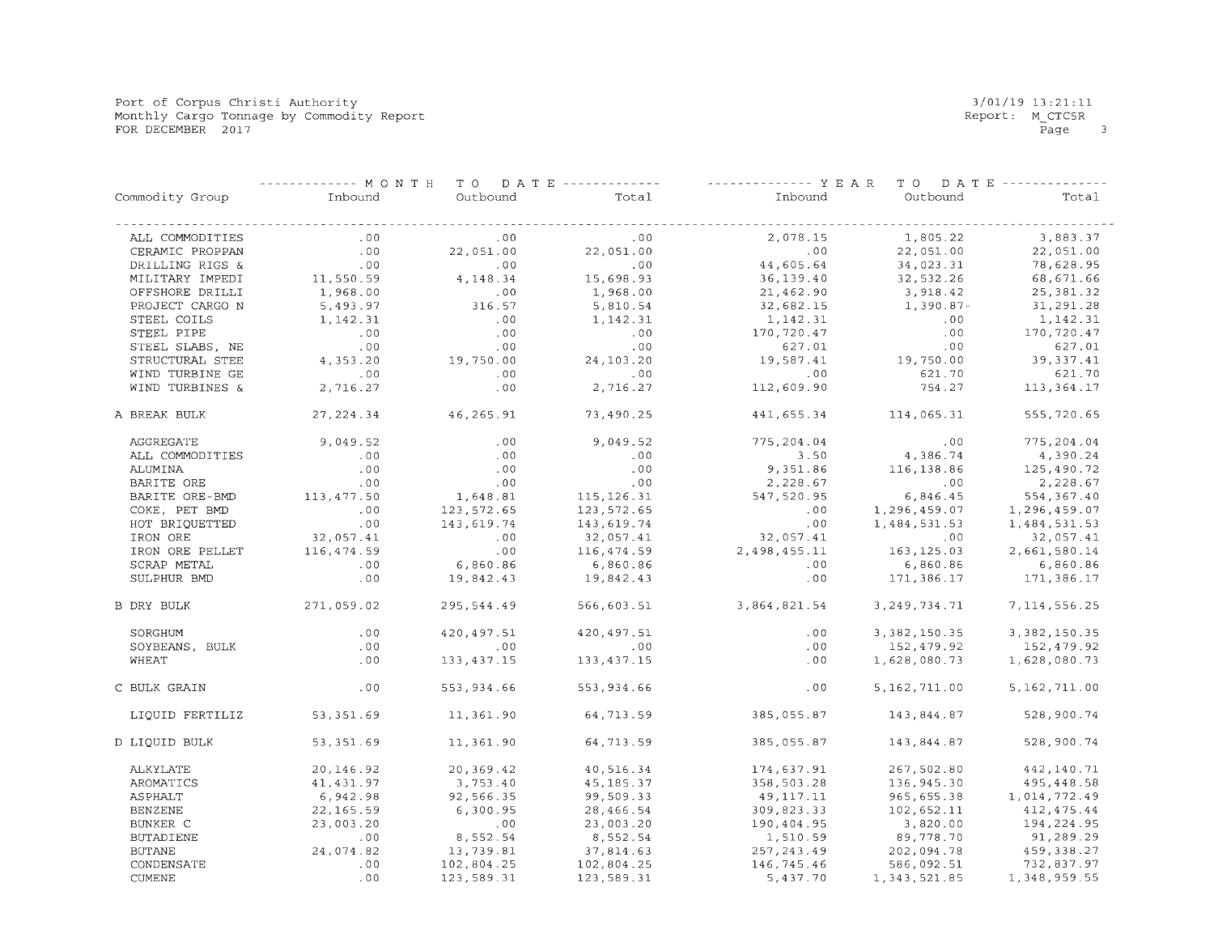Port of Corpus Christi Authority Monthly Cargo Tonnage by Commodity Report FOR DECEMBER 2017

|                   | ----- MONTH |              | TO DATE ------------- | ------------- Y E A R | TO DATE ------- |                 |
|-------------------|-------------|--------------|-----------------------|-----------------------|-----------------|-----------------|
| Commodity Group   | Inbound     | Outbound     | Total                 | Inbound               | Outbound        | Total           |
| ALL COMMODITIES   | .00         | .00          | .00                   | 2,078.15              | 1,805.22        | 3,883.37        |
| CERAMIC PROPPAN   | .00         | 22,051.00    | 22,051.00             | .00                   | 22,051.00       | 22,051.00       |
| DRILLING RIGS &   | .00         | .00          | .00                   | 44,605.64             | 34,023.31       | 78,628.95       |
| MILITARY IMPEDI   | 11,550.59   | 4,148.34     | 15,698.93             | 36,139.40             | 32,532.26       | 68,671.66       |
| OFFSHORE DRILLI   | 1,968.00    | .00          | 1,968.00              | 21,462.90             | 3,918.42        | 25, 381.32      |
| PROJECT CARGO N   | 5,493.97    | 316.57       | 5,810.54              | 32,682.15             | $1,390.87-$     | 31,291.28       |
| STEEL COILS       | 1,142.31    | .00          | 1,142.31              | 1,142.31              | .00             | 1,142.31        |
| STEEL PIPE        | .00         | .00          | .00                   | 170,720.47            | .00             | 170,720.47      |
| STEEL SLABS, NE   | .00         | .00          | .00                   | 627.01                | .00             | 627.01          |
| STRUCTURAL STEE   | 4,353.20    | 19,750.00    | 24,103.20             | 19,587.41             | 19,750.00       | 39, 337.41      |
| WIND TURBINE GE   | .00         | .00          | .00                   | .00                   | 621.70          | 621.70          |
| WIND TURBINES &   | 2,716.27    | .00          | 2,716.27              | 112,609.90            | 754.27          | 113, 364. 17    |
| A BREAK BULK      | 27, 224.34  | 46,265.91    | 73,490.25             | 441,655.34            | 114,065.31      | 555,720.65      |
| AGGREGATE         | 9,049.52    | .00          | 9,049.52              | 775, 204.04           | .00             | 775,204.04      |
| ALL COMMODITIES   | .00         | .00          | .00                   | 3.50                  | 4,386.74        | 4,390.24        |
| ALUMINA           | .00         | .00          | .00                   | 9,351.86              | 116, 138.86     | 125,490.72      |
| BARITE ORE        | .00         | .00          | .00                   | 2,228.67              | .00             | 2,228.67        |
| BARITE ORE-BMD    | 113, 477.50 | 1,648.81     | 115, 126.31           | 547, 520.95           | 6,846.45        | 554, 367.40     |
| COKE, PET BMD     | .00         | 123,572.65   | 123,572.65            | .00                   | 1,296,459.07    | 1,296,459.07    |
| HOT BRIQUETTED    | .00         | 143,619.74   | 143,619.74            | .00                   | 1,484,531.53    | 1,484,531.53    |
| IRON ORE          | 32,057.41   | .00          | 32,057.41             | 32,057.41             | .00             | 32,057.41       |
| IRON ORE PELLET   | 116,474.59  | .00          | 116,474.59            | 2,498,455.11          | 163, 125.03     | 2,661,580.14    |
| SCRAP METAL       | .00         | 6,860.86     | 6,860.86              | .00                   | 6,860.86        | 6,860.86        |
| SULPHUR BMD       | .00         | 19,842.43    | 19,842.43             | .00                   | 171,386.17      | 171,386.17      |
| <b>B DRY BULK</b> | 271,059.02  | 295,544.49   | 566,603.51            | 3,864,821.54          | 3, 249, 734. 71 | 7, 114, 556.25  |
| SORGHUM           | .00         | 420,497.51   | 420,497.51            | .00                   | 3, 382, 150.35  | 3, 382, 150. 35 |
| SOYBEANS, BULK    | .00         | .00          | .00                   | .00                   | 152,479.92      | 152,479.92      |
| WHEAT             | .00         | 133, 437. 15 | 133, 437. 15          | .00                   | 1,628,080.73    | 1,628,080.73    |
| C BULK GRAIN      | .00         | 553, 934.66  | 553, 934.66           | .00                   | 5, 162, 711.00  | 5,162,711.00    |
| LIQUID FERTILIZ   | 53, 351.69  | 11,361.90    | 64,713.59             | 385,055.87            | 143,844.87      | 528,900.74      |
| D LIQUID BULK     | 53, 351.69  | 11,361.90    | 64,713.59             | 385,055.87            | 143,844.87      | 528,900.74      |
| ALKYLATE          | 20,146.92   | 20,369.42    | 40,516.34             | 174,637.91            | 267,502.80      | 442,140.71      |
| AROMATICS         | 41,431.97   | 3,753.40     | 45, 185. 37           | 358,503.28            | 136,945.30      | 495,448.58      |
| <b>ASPHALT</b>    | 6,942.98    | 92,566.35    | 99,509.33             | 49, 117. 11           | 965,655.38      | 1,014,772.49    |
| <b>BENZENE</b>    | 22,165.59   | 6,300.95     | 28,466.54             | 309,823.33            | 102,652.11      | 412, 475.44     |
| BUNKER C          | 23,003.20   | .00          | 23,003.20             | 190,404.95            | 3,820.00        | 194,224.95      |
| BUTADIENE         | .00         | 8,552.54     | 8,552.54              | 1,510.59              | 89,778.70       | 91,289.29       |
| <b>BUTANE</b>     | 24,074.82   | 13,739.81    | 37,814.63             | 257, 243.49           | 202,094.78      | 459,338.27      |
| CONDENSATE        | .00         | 102,804.25   | 102,804.25            | 146,745.46            | 586,092.51      | 732,837.97      |
| <b>CUMENE</b>     | .00         | 123,589.31   | 123,589.31            | 5,437.70              | 1, 343, 521.85  | 1,348,959.55    |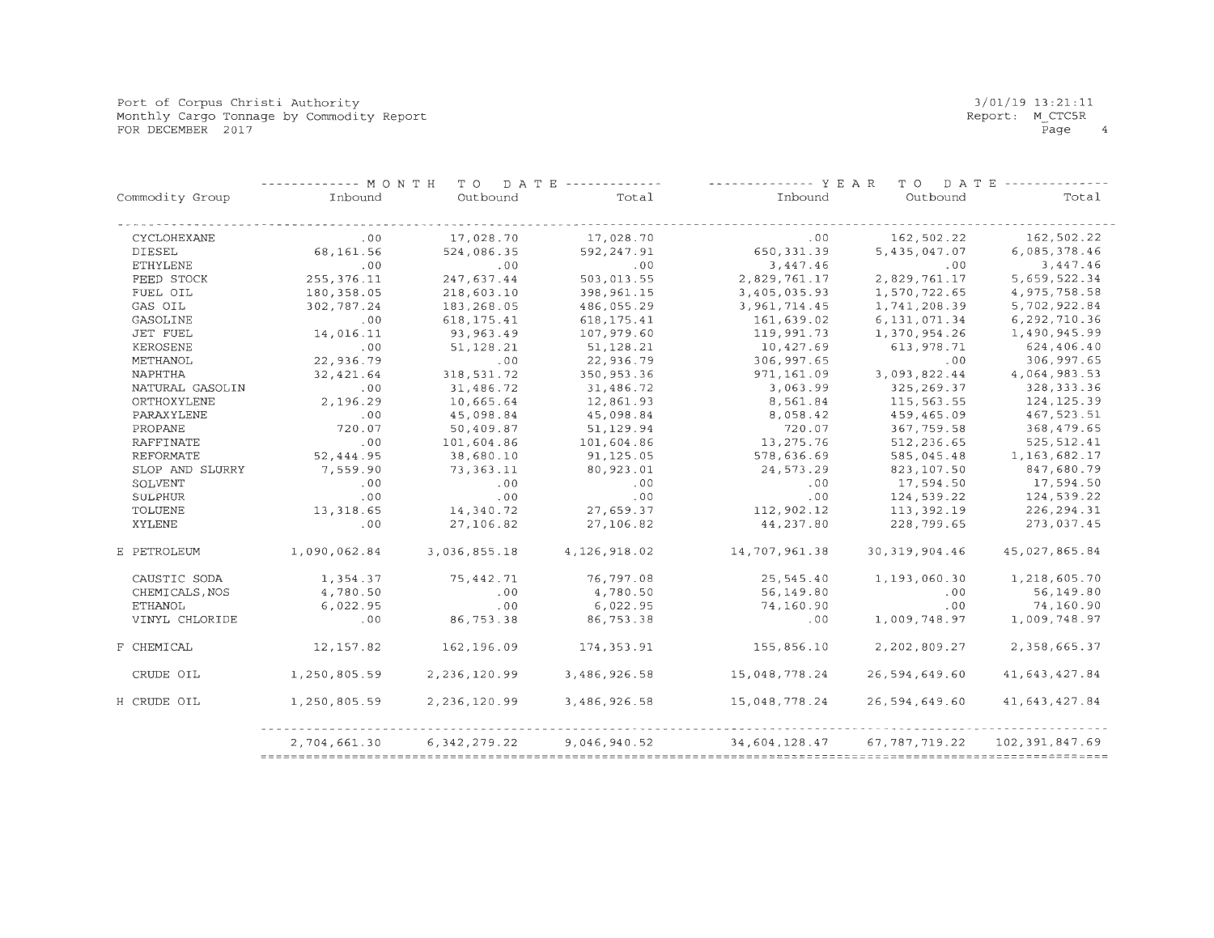Port of Corpus Christi Authority Monthly Cargo Tonnage by Commodity Report FOR DECEMBER 2017

|                  | ----- MONTH  | T O<br>DATE     | <b><i><u>Little de de de de</u></i></b> | -------------- Y E A R | T O<br>DATE     |                  |
|------------------|--------------|-----------------|-----------------------------------------|------------------------|-----------------|------------------|
| Commodity Group  | Inbound      | Outbound        | Total                                   | Inbound                | Outbound        | Total            |
| CYCLOHEXANE      | .00          | 17,028.70       | 17,028.70                               | .00                    | 162,502.22      | 162,502.22       |
| <b>DIESEL</b>    | 68, 161.56   | 524,086.35      | 592,247.91                              | 650, 331.39            | 5, 435, 047.07  | 6,085,378.46     |
| <b>ETHYLENE</b>  | .00          | .00             | .00                                     | 3,447.46               | .00             | 3,447.46         |
| FEED STOCK       | 255, 376.11  | 247.637.44      | 503,013.55                              | 2,829,761.17           | 2.829.761.17    | 5,659,522.34     |
| FUEL OIL         | 180,358.05   | 218,603.10      | 398,961.15                              | 3,405,035.93           | 1,570,722.65    | 4,975,758.58     |
| GAS OIL          | 302,787.24   | 183,268.05      | 486,055.29                              | 3, 961, 714.45         | 1,741,208.39    | 5,702,922.84     |
| GASOLINE         | .00          | 618, 175.41     | 618, 175. 41                            | 161,639.02             | 6, 131, 071.34  | 6,292,710.36     |
| <b>JET FUEL</b>  | 14,016.11    | 93,963.49       | 107,979.60                              | 119,991.73             | 1,370,954.26    | 1,490,945.99     |
| KEROSENE         | .00          | 51, 128.21      | 51,128.21                               | 10,427.69              | 613, 978.71     | 624,406.40       |
| METHANOL         | 22,936.79    | .00             | 22,936.79                               | 306,997.65             | .00             | 306,997.65       |
| <b>NAPHTHA</b>   | 32,421.64    | 318,531.72      | 350,953.36                              | 971,161.09             | 3,093,822.44    | 4,064,983.53     |
| NATURAL GASOLIN  | .00          | 31,486.72       | 31,486.72                               | 3,063.99               | 325, 269.37     | 328, 333.36      |
| ORTHOXYLENE      | 2,196.29     | 10,665.64       | 12,861.93                               | 8,561.84               | 115, 563.55     | 124, 125.39      |
| PARAXYLENE       | .00          | 45,098.84       | 45,098.84                               | 8,058.42               | 459,465.09      | 467,523.51       |
| PROPANE          | 720.07       | 50,409.87       | 51, 129.94                              | 720.07                 | 367, 759.58     | 368,479.65       |
| <b>RAFFINATE</b> | .00          | 101,604.86      | 101,604.86                              | 13,275.76              | 512,236.65      | 525, 512.41      |
| <b>REFORMATE</b> | 52,444.95    | 38,680.10       | 91,125.05                               | 578,636.69             | 585,045.48      | 1, 163, 682. 17  |
| SLOP AND SLURRY  | 7,559.90     | 73, 363. 11     | 80,923.01                               | 24, 573.29             | 823,107.50      | 847,680.79       |
| SOLVENT          | .00          | .00             | .00                                     | .00                    | 17,594.50       | 17,594.50        |
| <b>SULPHUR</b>   | .00          | .00             | .00                                     | .00                    | 124,539.22      | 124,539.22       |
| TOLUENE          | 13,318.65    | 14,340.72       | 27,659.37                               | 112,902.12             | 113, 392.19     | 226, 294.31      |
| XYLENE           | .00          | 27,106.82       | 27,106.82                               | 44,237.80              | 228,799.65      | 273,037.45       |
| E PETROLEUM      | 1,090,062.84 | 3,036,855.18    | 4, 126, 918.02                          | 14,707,961.38          | 30, 319, 904.46 | 45,027,865.84    |
| CAUSTIC SODA     | 1,354.37     | 75,442.71       | 76,797.08                               | 25,545.40              | 1,193,060.30    | 1,218,605.70     |
| CHEMICALS, NOS   | 4,780.50     | .00             | 4,780.50                                | 56,149.80              | .00             | 56,149.80        |
| <b>ETHANOL</b>   | 6,022.95     | .00             | 6,022.95                                | 74,160.90              | .00             | 74,160.90        |
| VINYL CHLORIDE   | .00          | 86,753.38       | 86,753.38                               | .00                    | 1,009,748.97    | 1,009,748.97     |
| F CHEMICAL       | 12,157.82    | 162,196.09      | 174,353.91                              | 155,856.10             | 2,202,809.27    | 2,358,665.37     |
| CRUDE OIL        | 1,250,805.59 | 2,236,120.99    | 3,486,926.58                            | 15,048,778.24          | 26,594,649.60   | 41,643,427.84    |
| H CRUDE OIL      | 1,250,805.59 | 2, 236, 120.99  | 3,486,926.58                            | 15,048,778.24          | 26,594,649.60   | 41, 643, 427.84  |
|                  | 2,704,661.30 | 6, 342, 279. 22 | 9,046,940.52                            | 34,604,128.47          | 67, 787, 719.22 | 102, 391, 847.69 |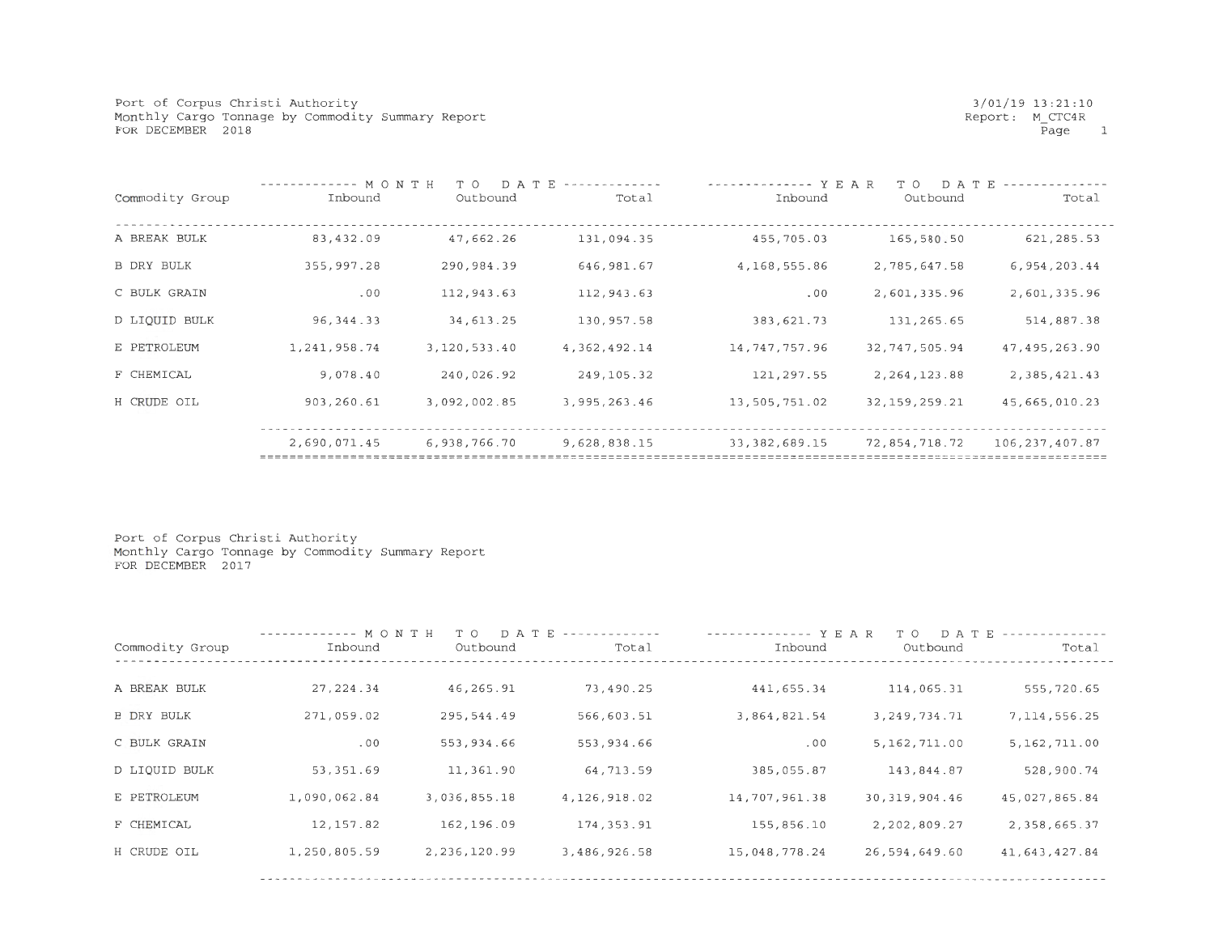Port of Corpus Christi Authority Monthly Cargo Tonnage by Commodity Summary Report FOR DECEMBER 2018

| Commodity Group   | -------- M O N T H<br>Inbound | DATE<br>T O<br>Outbound | Total        | ------ Y E A R<br>Inbound | T O<br>DATE<br>Outbound | Total          |
|-------------------|-------------------------------|-------------------------|--------------|---------------------------|-------------------------|----------------|
| A BREAK BULK      | 83,432.09                     | 47,662.26               | 131,094.35   | 455,705.03                | 165,580.50              | 621, 285.53    |
| <b>B DRY BULK</b> | 355,997.28                    | 290,984.39              | 646, 981.67  | 4,168,555.86              | 2,785,647.58            | 6, 954, 203.44 |
| C BULK GRAIN      | .00                           | 112,943.63              | 112,943.63   | .00                       | 2,601,335.96            | 2,601,335.96   |
| D LIQUID BULK     | 96, 344. 33                   | 34,613.25               | 130,957.58   | 383,621.73                | 131,265.65              | 514,887.38     |
| E PETROLEUM       | 1,241,958.74                  | 3,120,533.40            | 4.362.492.14 | 14,747,757.96             | 32,747,505.94           | 47,495,263.90  |
| F CHEMICAL        | 9,078.40                      | 240,026.92              | 249, 105. 32 | 121,297.55                | 2, 264, 123.88          | 2, 385, 421.43 |
| H CRUDE OIL       | 903,260.61                    | 3,092,002.85            | 3,995,263.46 | 13,505,751.02             | 32, 159, 259. 21        | 45,665,010.23  |
|                   |                               |                         |              |                           |                         |                |
|                   | 2,690,071.45                  | 6,938,766.70            | 9,628,838.15 | 33, 382, 689. 15          | 72,854,718.72           | 106,237,407.87 |
|                   |                               |                         |              |                           |                         |                |

Port of Corpus Christi Authority Monthly Cargo Tonnage by Commodity Summary Report FOR DECEMBER 2017

| Commodity Group   | ------------ MONTH<br>Inbound | T O<br>Outbound | D A T E -------------<br>Total | $--------Y E A R$<br>Inbound | DATE<br>T O<br>Outbound | Total           |
|-------------------|-------------------------------|-----------------|--------------------------------|------------------------------|-------------------------|-----------------|
| A BREAK BULK      | 27, 224.34                    | 46,265.91       | 73,490.25                      | 441,655.34                   | 114,065.31              | 555,720.65      |
| <b>B DRY BULK</b> | 271,059.02                    | 295,544.49      | 566,603.51                     | 3,864,821.54                 | 3, 249, 734. 71         | 7, 114, 556. 25 |
| C BULK GRAIN      | .00                           | 553,934.66      | 553,934.66                     | .00                          | 5,162,711.00            | 5,162,711.00    |
| D LIQUID BULK     | 53, 351.69                    | 11,361.90       | 64,713.59                      | 385,055.87                   | 143,844.87              | 528,900.74      |
| E PETROLEUM       | 1,090,062.84                  | 3,036,855.18    | 4, 126, 918.02                 | 14,707,961.38                | 30, 319, 904.46         | 45,027,865.84   |
| F CHEMICAL        | 12,157.82                     | 162,196.09      | 174, 353.91                    | 155,856.10                   | 2,202,809.27            | 2,358,665.37    |
| H CRUDE OIL       | 1,250,805.59                  | 2,236,120.99    | 3,486,926.58                   | 15,048,778.24                | 26,594,649.60           | 41,643,427.84   |